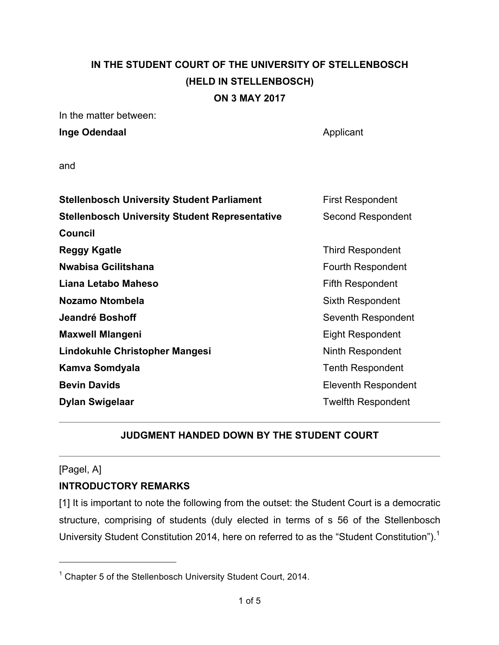# **IN THE STUDENT COURT OF THE UNIVERSITY OF STELLENBOSCH (HELD IN STELLENBOSCH) ON 3 MAY 2017**

In the matter between:

**Inge Odendaal** Applicant

and

| <b>Stellenbosch University Student Parliament</b>     | <b>First Respondent</b>   |
|-------------------------------------------------------|---------------------------|
| <b>Stellenbosch University Student Representative</b> | <b>Second Respondent</b>  |
| <b>Council</b>                                        |                           |
| <b>Reggy Kgatle</b>                                   | <b>Third Respondent</b>   |
| Nwabisa Gcilitshana                                   | Fourth Respondent         |
| Liana Letabo Maheso                                   | <b>Fifth Respondent</b>   |
| <b>Nozamo Ntombela</b>                                | Sixth Respondent          |
| Jeandré Boshoff                                       | Seventh Respondent        |
| <b>Maxwell Mlangeni</b>                               | <b>Eight Respondent</b>   |
| Lindokuhle Christopher Mangesi                        | Ninth Respondent          |
| Kamva Somdyala                                        | <b>Tenth Respondent</b>   |
| <b>Bevin Davids</b>                                   | Eleventh Respondent       |
| <b>Dylan Swigelaar</b>                                | <b>Twelfth Respondent</b> |
|                                                       |                           |

### **JUDGMENT HANDED DOWN BY THE STUDENT COURT**

### [Pagel, A]

### **INTRODUCTORY REMARKS**

[1] It is important to note the following from the outset: the Student Court is a democratic structure, comprising of students (duly elected in terms of s 56 of the Stellenbosch University Student Constitution 2014, here on referred to as the "Student Constitution").<sup>1</sup>

<sup>1</sup> Chapter 5 of the Stellenbosch University Student Court, 2014.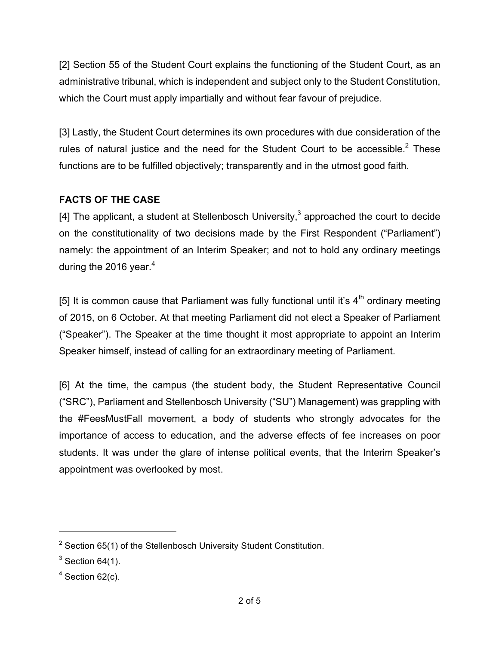[2] Section 55 of the Student Court explains the functioning of the Student Court, as an administrative tribunal, which is independent and subject only to the Student Constitution, which the Court must apply impartially and without fear favour of prejudice.

[3] Lastly, the Student Court determines its own procedures with due consideration of the rules of natural justice and the need for the Student Court to be accessible. $2$  These functions are to be fulfilled objectively; transparently and in the utmost good faith.

## **FACTS OF THE CASE**

[4] The applicant, a student at Stellenbosch University,<sup>3</sup> approached the court to decide on the constitutionality of two decisions made by the First Respondent ("Parliament") namely: the appointment of an Interim Speaker; and not to hold any ordinary meetings during the 2016 year. $4$ 

[5] It is common cause that Parliament was fully functional until it's  $4<sup>th</sup>$  ordinary meeting of 2015, on 6 October. At that meeting Parliament did not elect a Speaker of Parliament ("Speaker"). The Speaker at the time thought it most appropriate to appoint an Interim Speaker himself, instead of calling for an extraordinary meeting of Parliament.

[6] At the time, the campus (the student body, the Student Representative Council ("SRC"), Parliament and Stellenbosch University ("SU") Management) was grappling with the #FeesMustFall movement, a body of students who strongly advocates for the importance of access to education, and the adverse effects of fee increases on poor students. It was under the glare of intense political events, that the Interim Speaker's appointment was overlooked by most.

 $2$  Section 65(1) of the Stellenbosch University Student Constitution.

 $3$  Section 64(1).

 $4$  Section 62(c).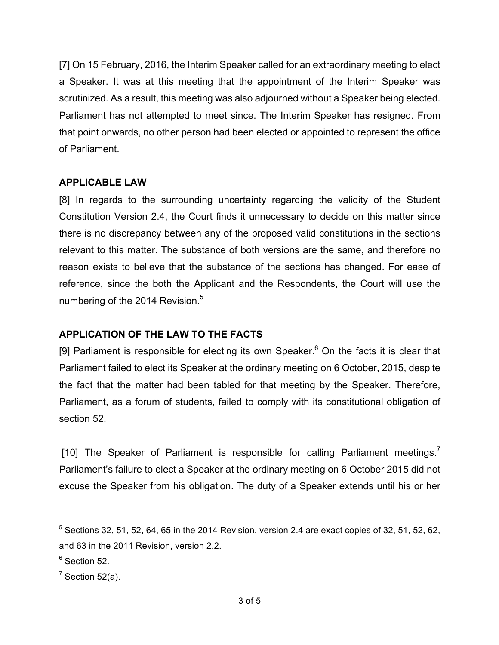[7] On 15 February, 2016, the Interim Speaker called for an extraordinary meeting to elect a Speaker. It was at this meeting that the appointment of the Interim Speaker was scrutinized. As a result, this meeting was also adjourned without a Speaker being elected. Parliament has not attempted to meet since. The Interim Speaker has resigned. From that point onwards, no other person had been elected or appointed to represent the office of Parliament.

### **APPLICABLE LAW**

[8] In regards to the surrounding uncertainty regarding the validity of the Student Constitution Version 2.4, the Court finds it unnecessary to decide on this matter since there is no discrepancy between any of the proposed valid constitutions in the sections relevant to this matter. The substance of both versions are the same, and therefore no reason exists to believe that the substance of the sections has changed. For ease of reference, since the both the Applicant and the Respondents, the Court will use the numbering of the 2014 Revision.<sup>5</sup>

#### **APPLICATION OF THE LAW TO THE FACTS**

[9] Parliament is responsible for electing its own Speaker. $6$  On the facts it is clear that Parliament failed to elect its Speaker at the ordinary meeting on 6 October, 2015, despite the fact that the matter had been tabled for that meeting by the Speaker. Therefore, Parliament, as a forum of students, failed to comply with its constitutional obligation of section 52.

[10] The Speaker of Parliament is responsible for calling Parliament meetings.<sup>7</sup> Parliament's failure to elect a Speaker at the ordinary meeting on 6 October 2015 did not excuse the Speaker from his obligation. The duty of a Speaker extends until his or her

 $5$  Sections 32, 51, 52, 64, 65 in the 2014 Revision, version 2.4 are exact copies of 32, 51, 52, 62, and 63 in the 2011 Revision, version 2.2.

 $6$  Section 52.

 $<sup>7</sup>$  Section 52(a).</sup>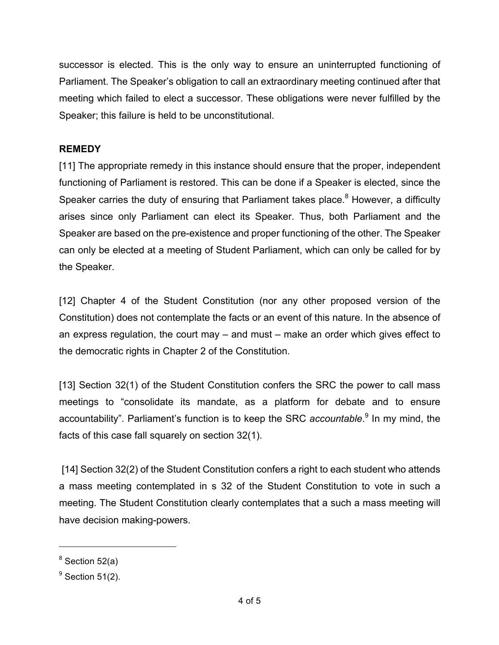successor is elected. This is the only way to ensure an uninterrupted functioning of Parliament. The Speaker's obligation to call an extraordinary meeting continued after that meeting which failed to elect a successor. These obligations were never fulfilled by the Speaker; this failure is held to be unconstitutional.

### **REMEDY**

[11] The appropriate remedy in this instance should ensure that the proper, independent functioning of Parliament is restored. This can be done if a Speaker is elected, since the Speaker carries the duty of ensuring that Parliament takes place.<sup>8</sup> However, a difficulty arises since only Parliament can elect its Speaker. Thus, both Parliament and the Speaker are based on the pre-existence and proper functioning of the other. The Speaker can only be elected at a meeting of Student Parliament, which can only be called for by the Speaker.

[12] Chapter 4 of the Student Constitution (nor any other proposed version of the Constitution) does not contemplate the facts or an event of this nature. In the absence of an express regulation, the court may – and must – make an order which gives effect to the democratic rights in Chapter 2 of the Constitution.

[13] Section 32(1) of the Student Constitution confers the SRC the power to call mass meetings to "consolidate its mandate, as a platform for debate and to ensure accountability". Parliament's function is to keep the SRC *accountable*. <sup>9</sup> In my mind, the facts of this case fall squarely on section 32(1).

[14] Section 32(2) of the Student Constitution confers a right to each student who attends a mass meeting contemplated in s 32 of the Student Constitution to vote in such a meeting. The Student Constitution clearly contemplates that a such a mass meeting will have decision making-powers.

 $\overline{a}$ 

 $8$  Section 52(a)

 $9$  Section 51(2).